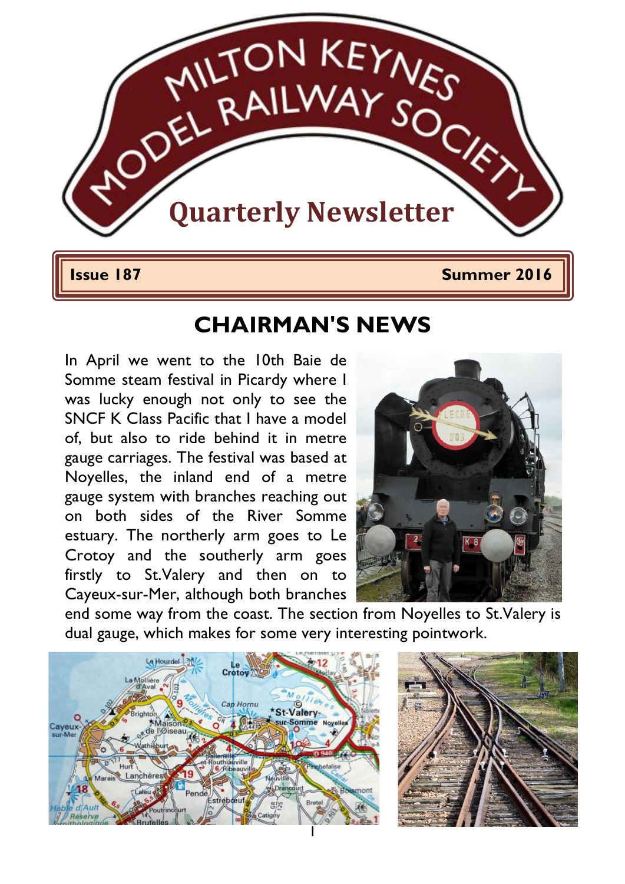

1

**Issue 187 Summer 2016** 

## **CHAIRMAN'S NEWS**

In April we went to the 10th Baie de Somme steam festival in Picardy where I was lucky enough not only to see the SNCF K Class Pacific that I have a model of, but also to ride behind it in metre gauge carriages. The festival was based at Noyelles, the inland end of a metre gauge system with branches reaching out on both sides of the River Somme estuary. The northerly arm goes to Le Crotoy and the southerly arm goes firstly to St.Valery and then on to Cayeux-sur-Mer, although both branches



end some way from the coast. The section from Noyelles to St.Valery is dual gauge, which makes for some very interesting pointwork.



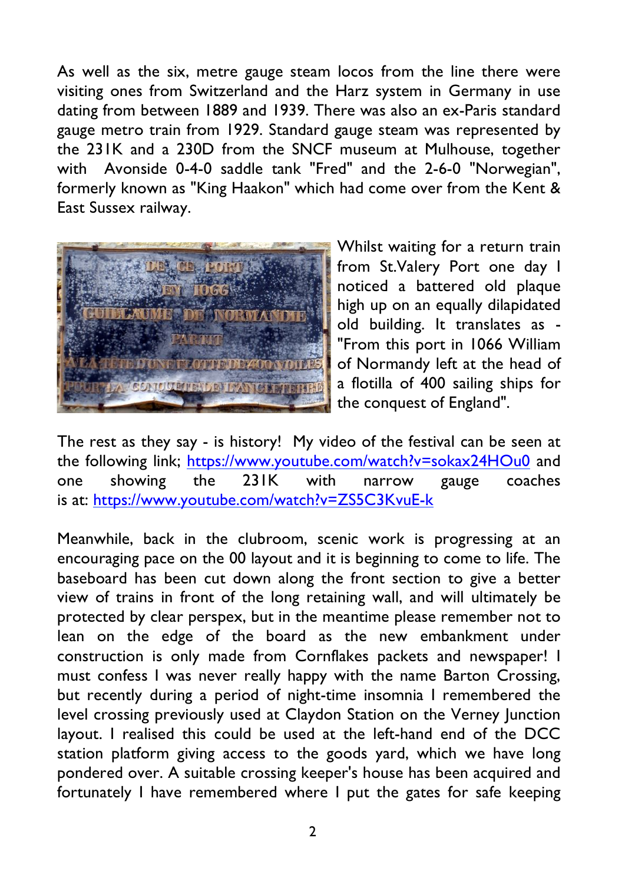As well as the six, metre gauge steam locos from the line there were visiting ones from Switzerland and the Harz system in Germany in use dating from between 1889 and 1939. There was also an ex-Paris standard gauge metro train from 1929. Standard gauge steam was represented by the 231K and a 230D from the SNCF museum at Mulhouse, together with Avonside 0-4-0 saddle tank "Fred" and the 2-6-0 "Norwegian", formerly known as "King Haakon" which had come over from the Kent & East Sussex railway.



Whilst waiting for a return train from St.Valery Port one day I noticed a battered old plaque high up on an equally dilapidated old building. It translates as - "From this port in 1066 William of Normandy left at the head of a flotilla of 400 sailing ships for the conquest of England".

The rest as they say - is history! My video of the festival can be seen at the following link; https://www.youtube.com/watch?v=sokax24HOu0 and one showing the 231K with narrow gauge coaches is at: https://www.youtube.com/watch?v=ZS5C3KvuE-k

Meanwhile, back in the clubroom, scenic work is progressing at an encouraging pace on the 00 layout and it is beginning to come to life. The baseboard has been cut down along the front section to give a better view of trains in front of the long retaining wall, and will ultimately be protected by clear perspex, but in the meantime please remember not to lean on the edge of the board as the new embankment under construction is only made from Cornflakes packets and newspaper! I must confess I was never really happy with the name Barton Crossing, but recently during a period of night-time insomnia I remembered the level crossing previously used at Claydon Station on the Verney Junction layout. I realised this could be used at the left-hand end of the DCC station platform giving access to the goods yard, which we have long pondered over. A suitable crossing keeper's house has been acquired and fortunately I have remembered where I put the gates for safe keeping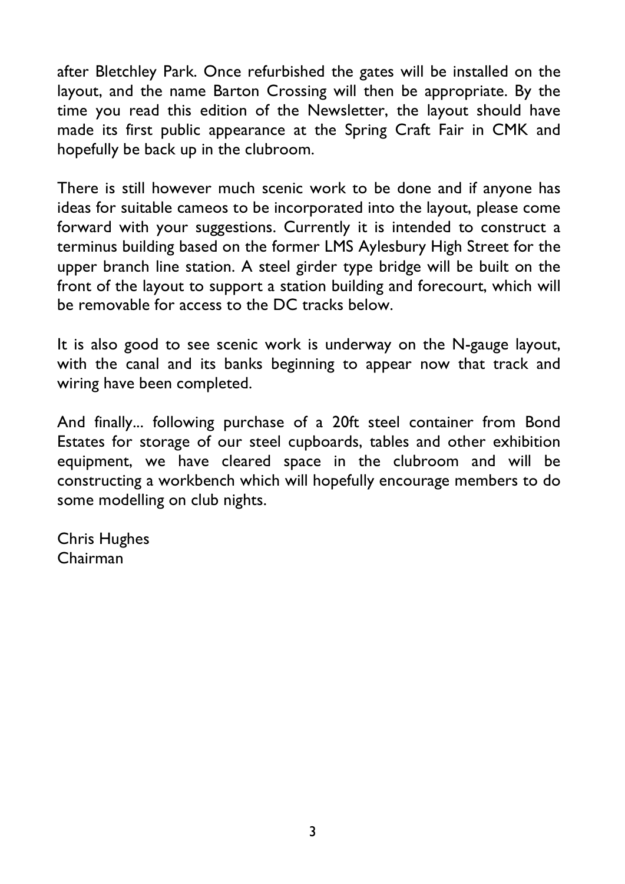after Bletchley Park. Once refurbished the gates will be installed on the layout, and the name Barton Crossing will then be appropriate. By the time you read this edition of the Newsletter, the layout should have made its first public appearance at the Spring Craft Fair in CMK and hopefully be back up in the clubroom.

There is still however much scenic work to be done and if anyone has ideas for suitable cameos to be incorporated into the layout, please come forward with your suggestions. Currently it is intended to construct a terminus building based on the former LMS Aylesbury High Street for the upper branch line station. A steel girder type bridge will be built on the front of the layout to support a station building and forecourt, which will be removable for access to the DC tracks below.

It is also good to see scenic work is underway on the N-gauge layout, with the canal and its banks beginning to appear now that track and wiring have been completed.

And finally... following purchase of a 20ft steel container from Bond Estates for storage of our steel cupboards, tables and other exhibition equipment, we have cleared space in the clubroom and will be constructing a workbench which will hopefully encourage members to do some modelling on club nights.

Chris Hughes Chairman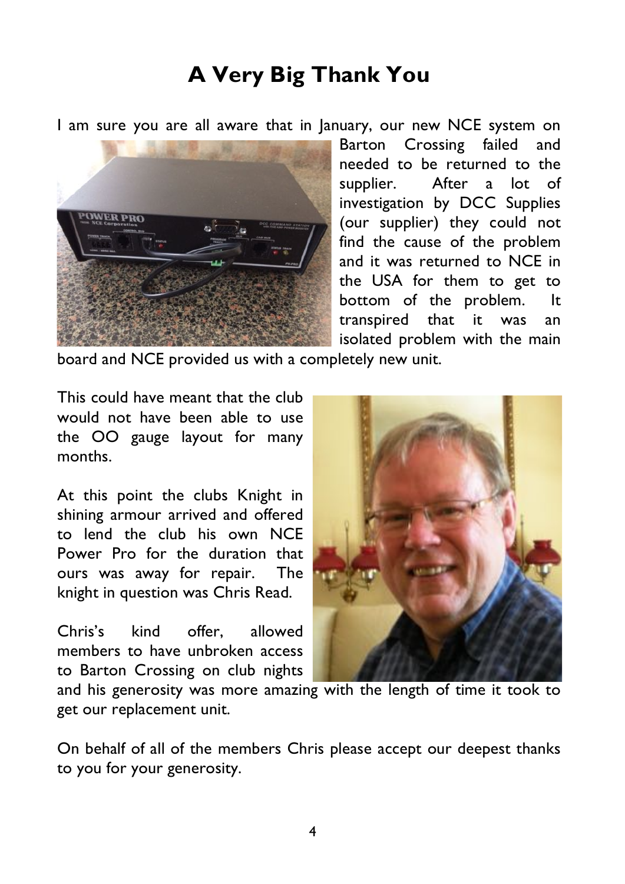# **A Very Big Thank You**

I am sure you are all aware that in January, our new NCE system on



Barton Crossing failed and needed to be returned to the supplier. After a lot of investigation by DCC Supplies (our supplier) they could not find the cause of the problem and it was returned to NCE in the USA for them to get to bottom of the problem. It transpired that it was an isolated problem with the main

board and NCE provided us with a completely new unit.

This could have meant that the club would not have been able to use the OO gauge layout for many months.

At this point the clubs Knight in shining armour arrived and offered to lend the club his own NCE Power Pro for the duration that ours was away for repair. The knight in question was Chris Read.

Chris's kind offer, allowed members to have unbroken access to Barton Crossing on club nights



and his generosity was more amazing with the length of time it took to get our replacement unit.

On behalf of all of the members Chris please accept our deepest thanks to you for your generosity.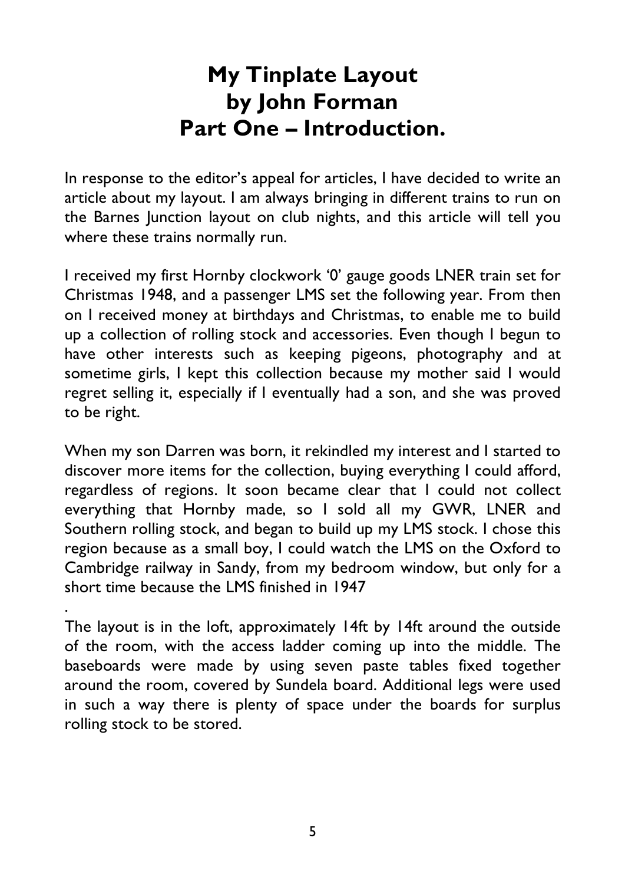# **My Tinplate Layout by John Forman Part One – Introduction.**

In response to the editor's appeal for articles, I have decided to write an article about my layout. I am always bringing in different trains to run on the Barnes Junction layout on club nights, and this article will tell you where these trains normally run.

I received my first Hornby clockwork '0' gauge goods LNER train set for Christmas 1948, and a passenger LMS set the following year. From then on I received money at birthdays and Christmas, to enable me to build up a collection of rolling stock and accessories. Even though I begun to have other interests such as keeping pigeons, photography and at sometime girls, I kept this collection because my mother said I would regret selling it, especially if I eventually had a son, and she was proved to be right.

When my son Darren was born, it rekindled my interest and I started to discover more items for the collection, buying everything I could afford, regardless of regions. It soon became clear that I could not collect everything that Hornby made, so I sold all my GWR, LNER and Southern rolling stock, and began to build up my LMS stock. I chose this region because as a small boy, I could watch the LMS on the Oxford to Cambridge railway in Sandy, from my bedroom window, but only for a short time because the LMS finished in 1947

The layout is in the loft, approximately 14ft by 14ft around the outside of the room, with the access ladder coming up into the middle. The baseboards were made by using seven paste tables fixed together around the room, covered by Sundela board. Additional legs were used in such a way there is plenty of space under the boards for surplus rolling stock to be stored.

.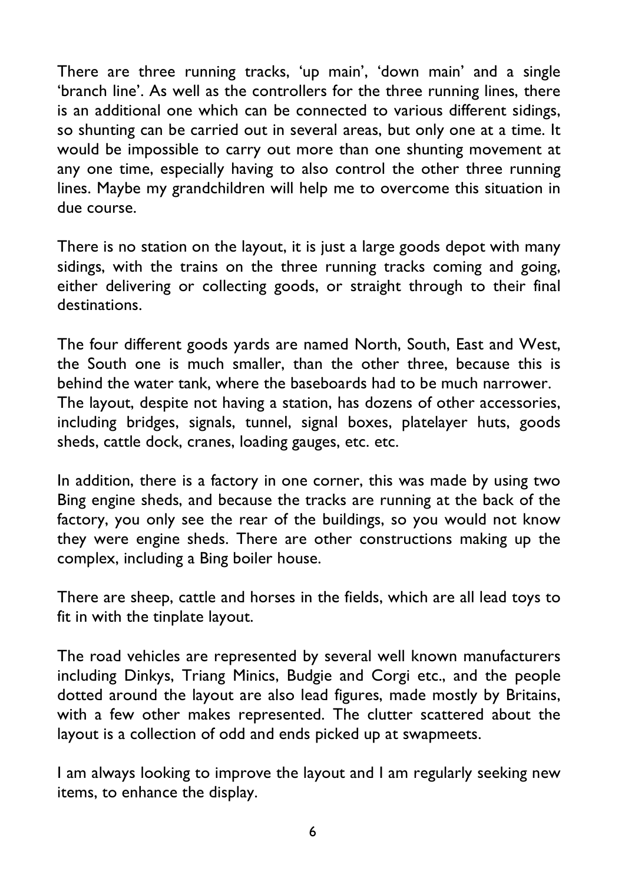There are three running tracks, 'up main', 'down main' and a single 'branch line'. As well as the controllers for the three running lines, there is an additional one which can be connected to various different sidings, so shunting can be carried out in several areas, but only one at a time. It would be impossible to carry out more than one shunting movement at any one time, especially having to also control the other three running lines. Maybe my grandchildren will help me to overcome this situation in due course.

There is no station on the layout, it is just a large goods depot with many sidings, with the trains on the three running tracks coming and going, either delivering or collecting goods, or straight through to their final destinations.

The four different goods yards are named North, South, East and West, the South one is much smaller, than the other three, because this is behind the water tank, where the baseboards had to be much narrower. The layout, despite not having a station, has dozens of other accessories, including bridges, signals, tunnel, signal boxes, platelayer huts, goods sheds, cattle dock, cranes, loading gauges, etc. etc.

In addition, there is a factory in one corner, this was made by using two Bing engine sheds, and because the tracks are running at the back of the factory, you only see the rear of the buildings, so you would not know they were engine sheds. There are other constructions making up the complex, including a Bing boiler house.

There are sheep, cattle and horses in the fields, which are all lead toys to fit in with the tinplate layout.

The road vehicles are represented by several well known manufacturers including Dinkys, Triang Minics, Budgie and Corgi etc., and the people dotted around the layout are also lead figures, made mostly by Britains, with a few other makes represented. The clutter scattered about the layout is a collection of odd and ends picked up at swapmeets.

I am always looking to improve the layout and I am regularly seeking new items, to enhance the display.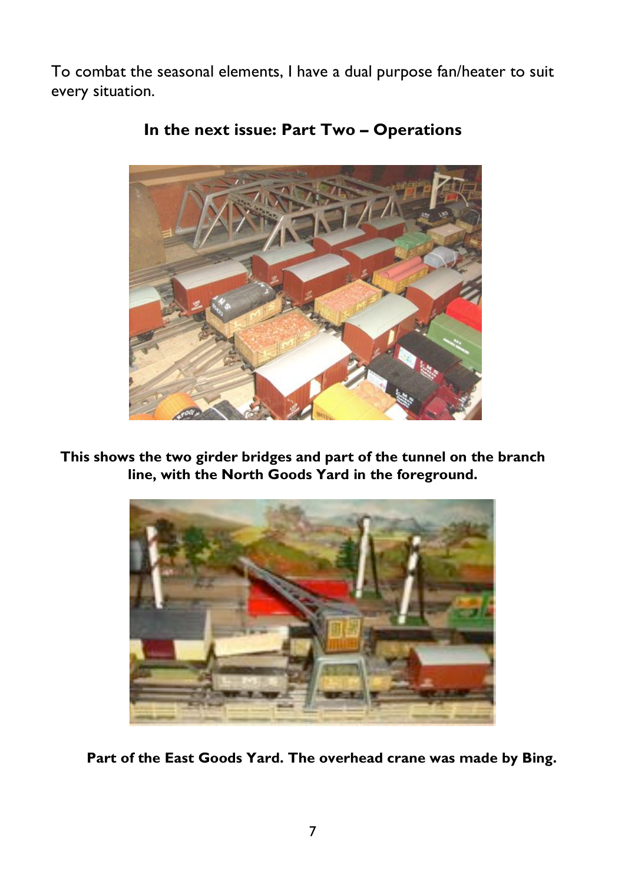To combat the seasonal elements, I have a dual purpose fan/heater to suit every situation.



### **In the next issue: Part Two – Operations**

**This shows the two girder bridges and part of the tunnel on the branch line, with the North Goods Yard in the foreground.**



**Part of the East Goods Yard. The overhead crane was made by Bing.**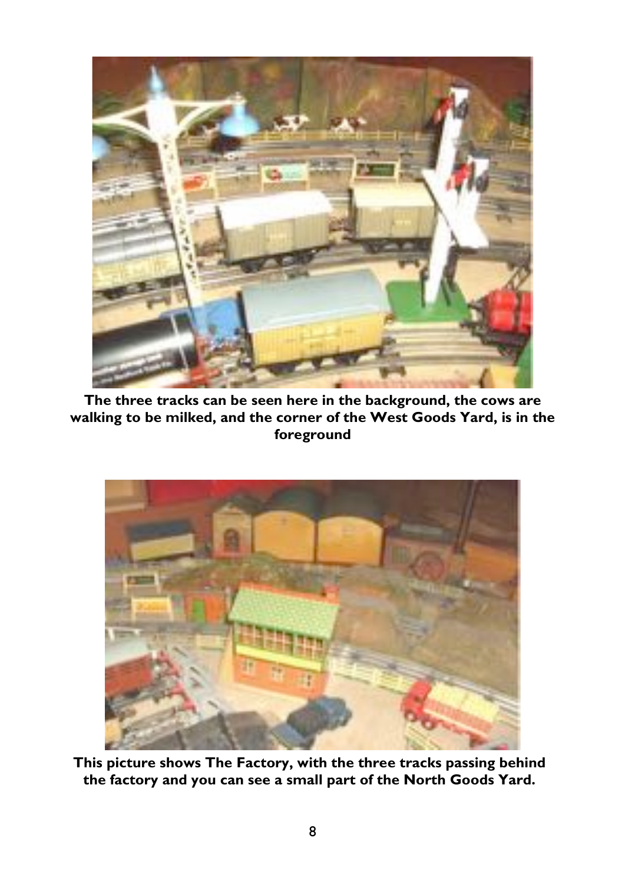

4

**The three tracks can be seen here in the background, the cows are walking to be milked, and the corner of the West Goods Yard, is in the foreground** 



**This picture shows The Factory, with the three tracks passing behind the factory and you can see a small part of the North Goods Yard.**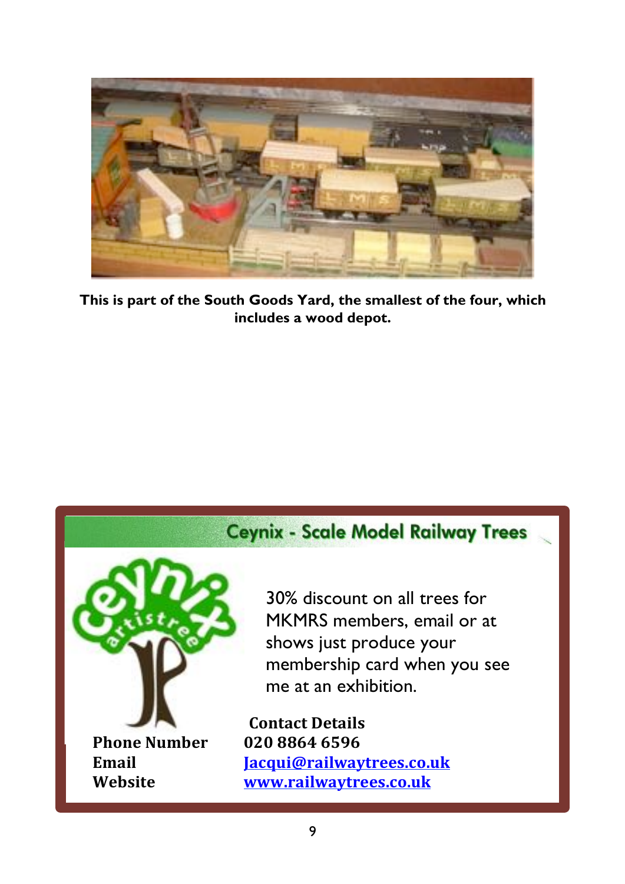

**This is part of the South Goods Yard, the smallest of the four, which includes a wood depot.**

## **Ceynix - Scale Model Railway Trees**



30% discount on all trees for MKMRS members, email or at shows just produce your membership card when you see me at an exhibition.

**Contact Details Email Jacqui@railwaytrees.co.uk Website www.railwaytrees.co.uk**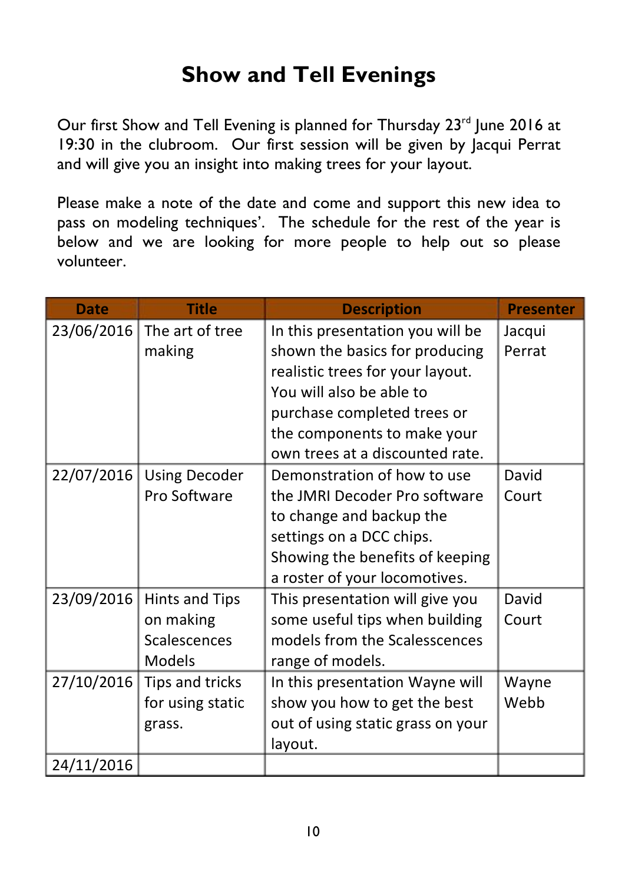# **Show and Tell Evenings**

Our first Show and Tell Evening is planned for Thursday 23<sup>rd</sup> June 2016 at 19:30 in the clubroom. Our first session will be given by Jacqui Perrat and will give you an insight into making trees for your layout.

Please make a note of the date and come and support this new idea to pass on modeling techniques'. The schedule for the rest of the year is below and we are looking for more people to help out so please volunteer.

| <b>Date</b> | <b>Title</b>          | <b>Description</b>                | <b>Presenter</b> |
|-------------|-----------------------|-----------------------------------|------------------|
| 23/06/2016  | The art of tree       | In this presentation you will be  | Jacqui           |
|             | making                | shown the basics for producing    | Perrat           |
|             |                       | realistic trees for your layout.  |                  |
|             |                       | You will also be able to          |                  |
|             |                       | purchase completed trees or       |                  |
|             |                       | the components to make your       |                  |
|             |                       | own trees at a discounted rate.   |                  |
| 22/07/2016  | <b>Using Decoder</b>  | Demonstration of how to use       | David            |
|             | Pro Software          | the JMRI Decoder Pro software     | Court            |
|             |                       | to change and backup the          |                  |
|             |                       | settings on a DCC chips.          |                  |
|             |                       | Showing the benefits of keeping   |                  |
|             |                       | a roster of your locomotives.     |                  |
| 23/09/2016  | <b>Hints and Tips</b> | This presentation will give you   | David            |
|             | on making             | some useful tips when building    | Court            |
|             | Scalescences          | models from the Scalesscences     |                  |
|             | <b>Models</b>         | range of models.                  |                  |
| 27/10/2016  | Tips and tricks       | In this presentation Wayne will   | Wayne            |
|             | for using static      | show you how to get the best      | Webb             |
|             | grass.                | out of using static grass on your |                  |
|             |                       | layout.                           |                  |
| 24/11/2016  |                       |                                   |                  |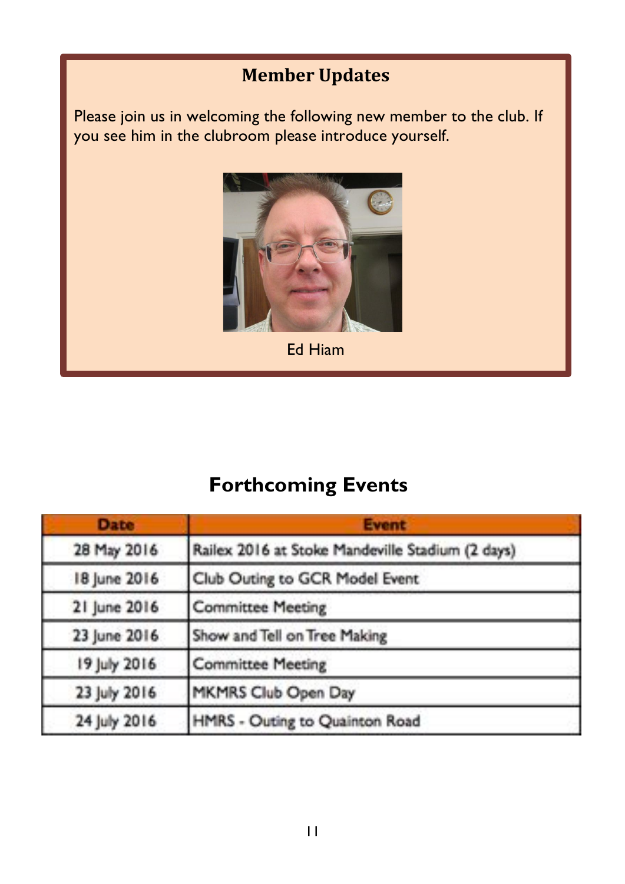## **Member Updates**

Please join us in welcoming the following new member to the club. If you see him in the clubroom please introduce yourself.



Ed Hiam

# **Forthcoming Events**

| <b>Date</b>  | <b>Event</b>                                     |  |
|--------------|--------------------------------------------------|--|
| 28 May 2016  | Railex 2016 at Stoke Mandeville Stadium (2 days) |  |
| 18 June 2016 | Club Outing to GCR Model Event                   |  |
| 21 June 2016 | <b>Committee Meeting</b>                         |  |
| 23 June 2016 | Show and Tell on Tree Making                     |  |
| 19 July 2016 | <b>Committee Meeting</b>                         |  |
| 23 July 2016 | MKMRS Club Open Day                              |  |
| 24 July 2016 | HMRS - Outing to Quainton Road                   |  |